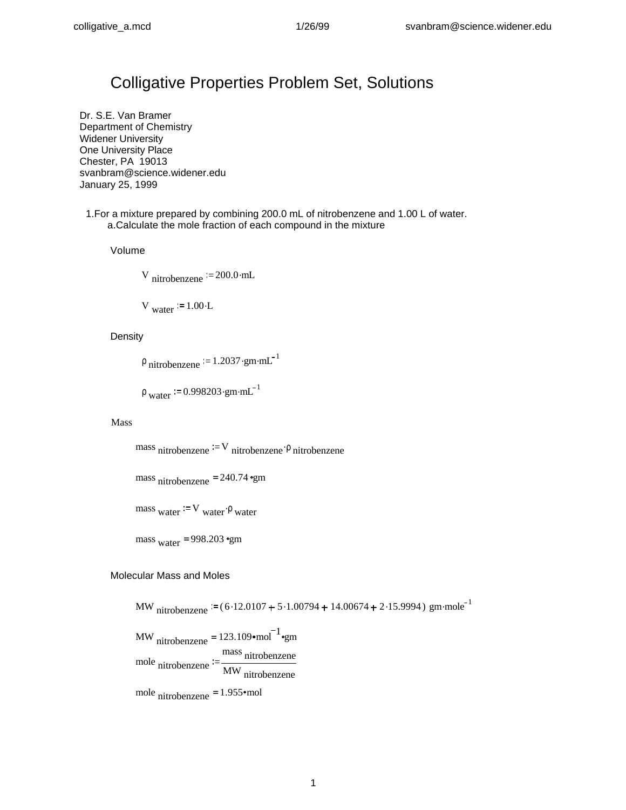# Colligative Properties Problem Set, Solutions

Dr. S.E. Van Bramer Department of Chemistry Widener University One University Place Chester, PA 19013 svanbram@science.widener.edu January 25, 1999

1.For a mixture prepared by combining 200.0 mL of nitrobenzene and 1.00 L of water. a.Calculate the mole fraction of each compound in the mixture

Volume

V nitrobenzene  $= 200.0 \cdot mL$ 

V water  $= 1.00 \cdot L$ 

## **Density**

 $\rho$  nitrobenzene = 1.2037 gm mL<sup>-1</sup>

 $\rho$  water  $\approx 0.998203 \cdot \text{gm} \cdot \text{mL}^{-1}$ 

## Mass

mass nitrobenzene  $V = V$  nitrobenzene  $\rho$  nitrobenzene

mass nitrobenzene <sup>=</sup> 240.74 gm

mass <sub>water</sub> = V <sub>water</sub>  $\rho$  <sub>water</sub>

mass  $_{\text{water}}$  = 998.203 •gm

## Molecular Mass and Moles

MW nitrobenzene  $= (6.12.0107 + 5.1.00794 + 14.00674 + 2.15.9994)$  gm·mole<sup>-1</sup>

MW  $_{nitrobenzene} = 123.109 \cdot \text{mol}^{-1} \cdot \text{gm}$ mole nitrobenzene mass nitrobenzene MW nitrobenzene

mole nitrobenzene =  $1.955$ ·mol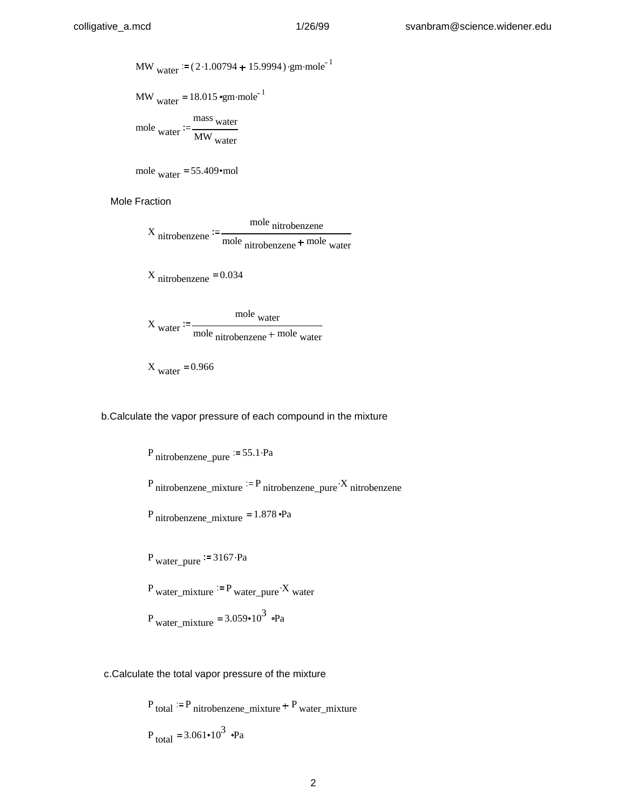MW<sub>water</sub> := 
$$
(2 \cdot 1.00794 + 15.9994) \cdot \text{gm-mole}^{-1}
$$

MW water 18.015 gm mole <sup>1</sup> = .

mole water  $=$   $\frac{1}{\text{MW}}$ mass water water

mole water =  $55.409 \text{·mol}$ 

Mole Fraction

X nitrobenzene mole nitrobenzene mole nitrobenzene + mole water

X nitrobenzene <sup>=</sup> 0.034

$$
Xwater := \frac{molewater}{molenitrobenzene + molewater}
$$

$$
X_{\text{water}} = 0.966
$$

b.Calculate the vapor pressure of each compound in the mixture

<sup>P</sup> nitrobenzene\_pure 55.1.Pa <sup>P</sup> nitrobenzene\_mixture <sup>P</sup> nitrobenzene\_pure <sup>X</sup> nitrobenzene . P nitrobenzene\_mixture <sup>=</sup> 1.878 Pa <sup>P</sup> water\_pure <sup>3167</sup>.Pa P water\_mixture P water\_pure X water . <sup>P</sup> water\_mixture 3.059 103 = Pa

c.Calculate the total vapor pressure of the mixture

 $P_{total}$  = P nitrobenzene\_mixture + P water\_mixture  $P_{\text{total}} = 3.061 \cdot 10^3 \text{ } \cdot \text{Pa}$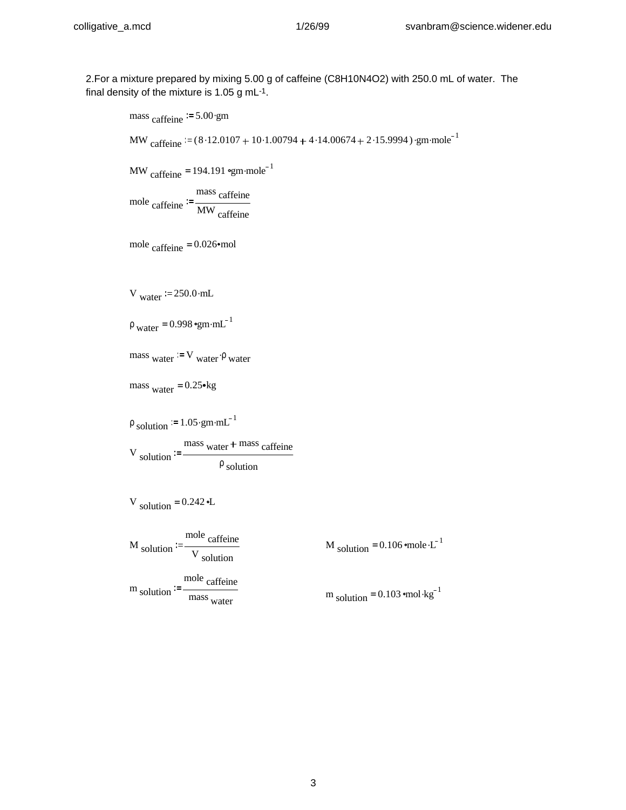## colligative\_a.mcd 1/26/99 svanbram@science.widener.edu

2.For a mixture prepared by mixing 5.00 g of caffeine (C8H10N4O2) with 250.0 mL of water. The final density of the mixture is 1.05 g mL-1.

mass caffeine  $= 5.00 \cdot gm$ MW caffeine  $(8.12.0107 + 10.1.00794 + 4.14.00674 + 2.15.9994)$  · gm·mole<sup>-1</sup> MW caffeine =  $194.191$  °gm mole<sup>-1</sup> mole caffeine mass caffeine MW caffeine mole caffeine =  $0.026$  mol V water  $= 250.0$  mL  $\rho_{\text{water}} = 0.998 \text{°gm} \cdot \text{mL}^{-1}$ mass <sub>water</sub> = V <sub>water</sub>  $\rho$  <sub>water</sub> mass  $_{\text{water}} = 0.25 \text{m/s}$  $\rho_{\text{solution}} = 1.05 \cdot \text{gm} \cdot \text{m} \cdot \text{m}^{-1}$ V solution mass <sub>water</sub> + mass caffeine  $\rho$  solution V solution =  $0.242$  <sup>o</sup>L M solution mole caffeine V solution M solution =  $0.106$  mole  $L^{-1}$ m solution mole caffeine mass water  $m_{\text{solution}} = 0.103 \text{ } \text{mol} \cdot \text{kg}^{-1}$ 

3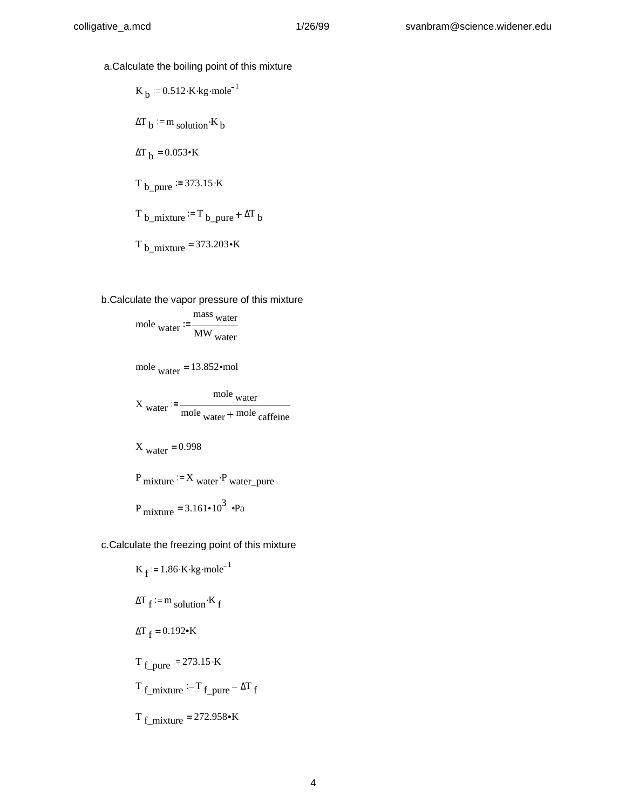a.Calculate the boiling point of this mixture

$$
K_b := 0.512 \cdot K \cdot kg \cdot mole^{-1}
$$
  
\n
$$
\Delta T_b := m_{\text{ solution}} \cdot K_b
$$
  
\n
$$
\Delta T_b = 0.053 \cdot K
$$
  
\n
$$
T_{b\_pure} := 373.15 \cdot K
$$
  
\n
$$
T_{b\_mixture} := T_{b\_pure} + \Delta T_b
$$
  
\n
$$
T_{b\_mixture} = 373.203 \cdot K
$$

b.Calculate the vapor pressure of this mixture

mole water 
$$
:= \frac{\text{mass water}}{\text{MW water}}
$$

mole water =  $13.852 \text{·mol}$ 

$$
X_{\text{water}} := \frac{\text{mole water}}{\text{mole water} + \text{mole cafferine}}
$$

$$
X_{water} = 0.998
$$

$$
P_{\text{mixture}} := X_{\text{water}} \cdot P_{\text{water\_pure}}
$$

$$
P_{\text{mixture}} = 3.161 \cdot 10^3 \text{ } \cdot \text{Pa}
$$

c.Calculate the freezing point of this mixture

$$
K_f := 1.86 \cdot K \cdot kg \cdot mole^{-1}
$$
  
\n
$$
\Delta T_f := m \text{ solution} \cdot K_f
$$
  
\n
$$
\Delta T_f = 0.192 \cdot K
$$
  
\n
$$
T_{f\_pure} := 273.15 \cdot K
$$
  
\n
$$
T_{f\_mixture} := T_{f\_pure} - \Delta T_f
$$
  
\n
$$
T_{f\_mixture} = 272.958 \cdot K
$$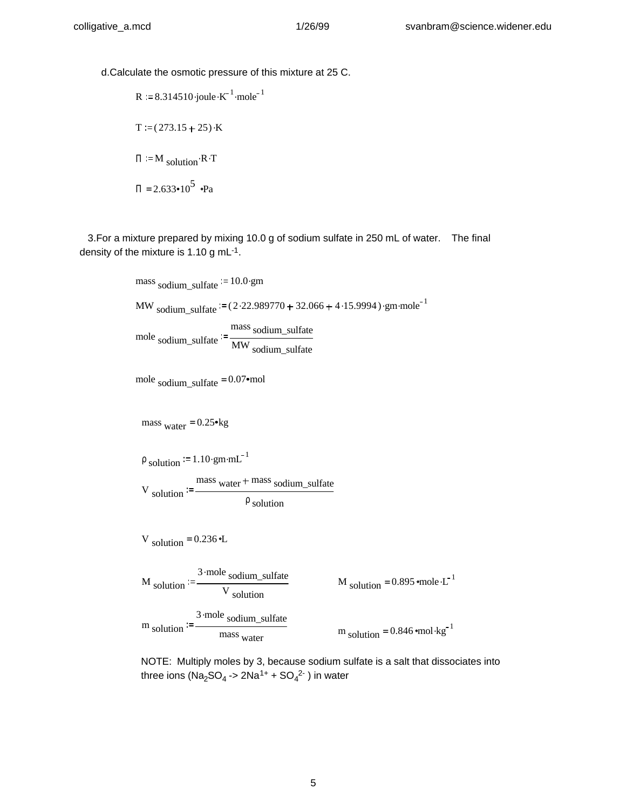d.Calculate the osmotic pressure of this mixture at 25 C.

R 8.314510.joule K 1 . mole <sup>1</sup> . T ( 273.15 25) .K <sup>Π</sup> <sup>M</sup> solution.R.<sup>T</sup> <sup>Π</sup> 2.633 105 = Pa

 3.For a mixture prepared by mixing 10.0 g of sodium sulfate in 250 mL of water. The final density of the mixture is 1.10 g mL-1.

> mass sodium sulfate  $= 10.0$ .gm MW sodium\_sulfate  $= (2.22.989770 + 32.066 + 4.15.9994)$  ·gm·mole<sup>-1</sup> mole sodium\_sulfate mass sodium\_sulfate MW sodium\_sulfate

mole sodium sulfate  $= 0.07$  mol

mass  $_{\text{water}} = 0.25 \text{m/s}$ 

$$
\rho_{\text{solution}} = 1.10 \cdot \text{gm} \cdot \text{mL}^{-1}
$$

V solution mass water + mass sodium\_sulfate  $\rho$  solution

mass water

V solution =  $0.236$  <sup>o</sup>L

M solution := 
$$
\frac{3 \cdot \text{mole sodium\_sulfate}}{V \text{ solution}}
$$
  
\nm solution :=  $\frac{3 \cdot \text{mole} \text{ sodium\_sulfate}}{V \text{ column}} = \frac{3 \cdot \text{mole} \text{ sodium\_sulfate}}{V \text{ column}} = \frac{3 \cdot \text{mole} \text{ volume}}{V \text{ normal}} = \frac{3 \cdot \text{mole}}{V \text{ normal}} = \frac{3 \cdot \text{mole}}{V \text{ normal}} = \frac{3 \cdot \text{mole}}{V \text{ normal}} = \frac{3 \cdot \text{mole}}{V \text{ normal}} = \frac{3 \cdot \text{mole}}{V \text{ normal}} = \frac{3 \cdot \text{mole}}{V \text{ normal}} = \frac{3 \cdot \text{mole}}{V \text{ normal}} = \frac{3 \cdot \text{mole}}{V \text{ normal}} = \frac{3 \cdot \text{mole}}{V \text{ normal}} = \frac{3 \cdot \text{mole}}{V \text{ normal}} = \frac{3 \cdot \text{mole}}{V \text{ normal}} = \frac{3 \cdot \text{mole}}{V \text{ normal}} = \frac{3 \cdot \text{mole}}{V \text{ normal}} = \frac{3 \cdot \text{mole}}{V \text{ normal}} = \frac{3 \cdot \text{mole}}{V \text{ normal}} = \frac{3 \cdot \text{mole}}{V \text{ normal}} = \frac{3 \cdot \text{mole}}{V \text{ normal}} = \frac{3 \cdot \text{mole}}{V \text{ normal}} = \frac{3 \cdot \text{mole}}{V \text{ normal}} = \frac{3 \cdot \text{mole}}{V \text{ normal}} = \frac{3 \cdot \text{mole}}{V \text{ normal}} = \frac{3 \cdot \text{mole}}{V \text{ normal}} = \frac{3 \cdot \text{mole}}{V \text{ normal}} = \frac{3 \cdot \text{mole}}{V \text{ normal}} = \frac{3 \cdot \text{mole}}{V \text{ normal}} = \frac{3 \cdot \text{mole}}{V \text{ normal}} = \frac{3 \cdot \text{mole}}{V \text{ normal}} = \frac{3 \cdot \text{mole}}{V \text{ normal}} = \frac{3 \cdot \text{mole}}{V \text{ normal}} = \frac{3 \cdot \text{mole}}{V \text{ normal}} = \frac{3 \cdot \text{mole}}{V \text{ normal}} = \frac{3 \cdot \text{mole}}{V \text{ normal}} = \frac{3$ 

 $m_{\text{solution}} = 0.846 \text{ } \text{mol} \cdot \text{kg}^{-1}$ 

M solution =  $0.895$  mole  $\cdot L^{-1}$ 

NOTE: Multiply moles by 3, because sodium sulfate is a salt that dissociates into three ions (Na<sub>2</sub>SO<sub>4</sub> -> 2Na<sup>1+</sup> + SO<sub>4</sub><sup>2-</sup> ) in water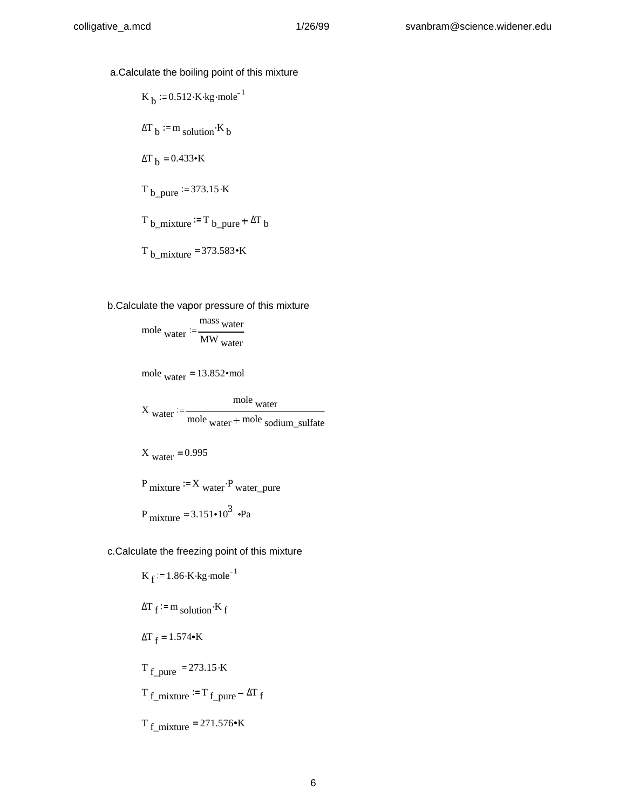- a.Calculate the boiling point of this mixture
	- K <sub>b</sub> =  $0.512 \cdot$ K $\cdot$ kg $\cdot$ mole<sup>-1</sup>  $\Delta T_b$  = m solution K b ΔT  $_b$  = 0.433•K  $T_b$  pure = 373.15 K  $T_{b\_mixture}$  = T<sub>b\_pure</sub> +  $\Delta T_b$  $T_{b\_mixture}$  = 373.583 $\cdot$ K
- b.Calculate the vapor pressure of this mixture

$$
mole_{\text{water}} := \frac{mass_{\text{water}}}{MW_{\text{water}}}
$$

mole water =  $13.852 \cdot \text{mol}$ 

$$
Xwater := \frac{molewater}{molewater + mole sodium_sulfate}
$$

$$
X_{\text{water}} = 0.995
$$

 $P_{\text{mixture}} = X_{\text{water}} \cdot P_{\text{water\_pure}}$ 

$$
P_{\text{mixture}} = 3.151 \cdot 10^3 \text{ } \cdot \text{Pa}
$$

c.Calculate the freezing point of this mixture

$$
K_f := 1.86 \cdot K \cdot kg \cdot mole^{-1}
$$
  
\n
$$
\Delta T_f := m_{\text{solution}} \cdot K_f
$$
  
\n
$$
\Delta T_f = 1.574 \cdot K
$$
  
\n
$$
T_{f\_pure} := 273.15 \cdot K
$$
  
\n
$$
T_{f\_mixture} := T_{f\_pure} - \Delta T_f
$$
  
\n
$$
T_{f\_mixture} = 271.576 \cdot K
$$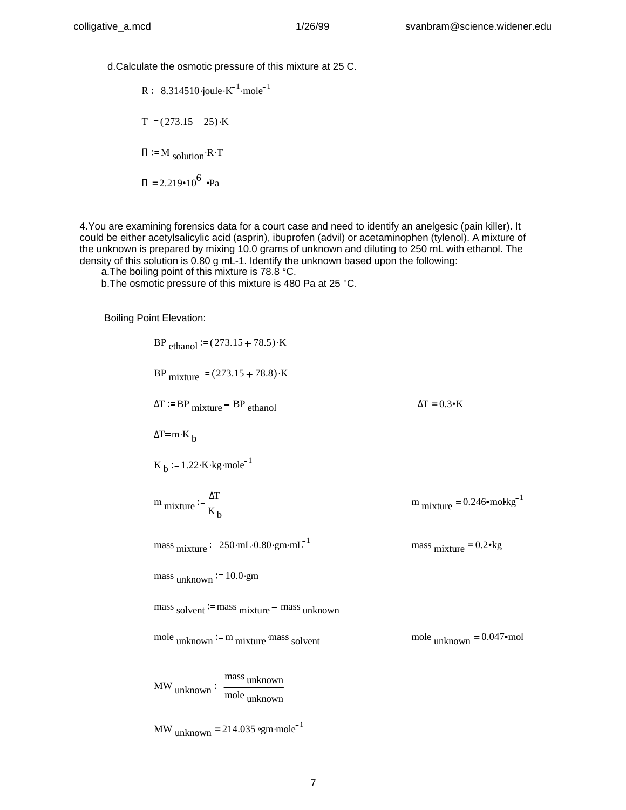d.Calculate the osmotic pressure of this mixture at 25 C.

R 8.314510.joule K 1 . mole <sup>1</sup> . T ( 273.15 25) .K <sup>Π</sup> <sup>M</sup> solution.R.<sup>T</sup> <sup>Π</sup> 2.219 106 = Pa

4.You are examining forensics data for a court case and need to identify an anelgesic (pain killer). It could be either acetylsalicylic acid (asprin), ibuprofen (advil) or acetaminophen (tylenol). A mixture of the unknown is prepared by mixing 10.0 grams of unknown and diluting to 250 mL with ethanol. The density of this solution is 0.80 g mL-1. Identify the unknown based upon the following:

a.The boiling point of this mixture is 78.8 °C.

b.The osmotic pressure of this mixture is 480 Pa at 25 °C.

Boiling Point Elevation:

 $BP$ <sub>ethanol</sub> =  $(273.15 + 78.5) \cdot K$ BP mixture  $= (273.15 + 78.8) \cdot K$  $\Delta T = BP$  mixture BP ethanol  $\Delta T = 0.3$  K  $ΔT = m K_b$ K  $_b = 1.22$  K kg mole<sup>-1</sup>  $m_{\text{mixture}} := \frac{\Delta T}{K}$  $K_{\mathbf{b}}$  $m_{\text{mixture}} = 0.246 \cdot \text{mokg}^{-1}$ mass mixture  $\approx 250$ ·mL·0.80·gm·mL<sup>-1</sup> mass  $mixture = 0.2$  kg mass  $_{unknown} := 10.0.9$  $mass$  solvent = mass mixture  $-$  mass unknown mole unknown  $\cdot = m$  mixture mass solvent . mole unknown = 0.047 mol MW unknown mass unknown mole unknown

MW  $_{\text{unknown}} = 214.035$  °gm·mole<sup>-1</sup>